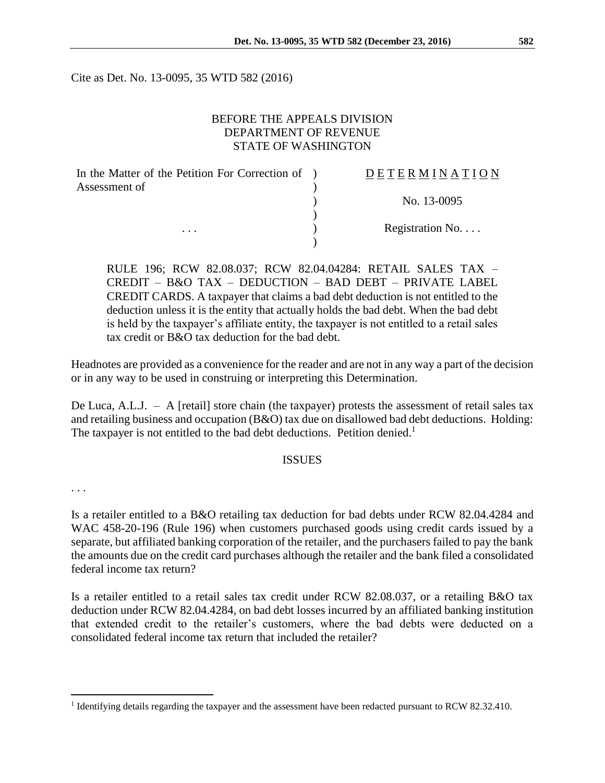Cite as Det. No. 13-0095, 35 WTD 582 (2016)

# BEFORE THE APPEALS DIVISION DEPARTMENT OF REVENUE STATE OF WASHINGTON

| In the Matter of the Petition For Correction of ) | DETERMINATION   |
|---------------------------------------------------|-----------------|
| Assessment of                                     |                 |
|                                                   | No. 13-0095     |
|                                                   |                 |
| $\cdots$                                          | Registration No |
|                                                   |                 |

RULE 196; RCW 82.08.037; RCW 82.04.04284: RETAIL SALES TAX – CREDIT – B&O TAX – DEDUCTION – BAD DEBT – PRIVATE LABEL CREDIT CARDS. A taxpayer that claims a bad debt deduction is not entitled to the deduction unless it is the entity that actually holds the bad debt. When the bad debt is held by the taxpayer's affiliate entity, the taxpayer is not entitled to a retail sales tax credit or B&O tax deduction for the bad debt.

Headnotes are provided as a convenience for the reader and are not in any way a part of the decision or in any way to be used in construing or interpreting this Determination.

De Luca, A.L.J. – A [retail] store chain (the taxpayer) protests the assessment of retail sales tax and retailing business and occupation (B&O) tax due on disallowed bad debt deductions. Holding: The taxpayer is not entitled to the bad debt deductions. Petition denied.<sup>1</sup>

# ISSUES

. . .

 $\overline{a}$ 

Is a retailer entitled to a B&O retailing tax deduction for bad debts under RCW 82.04.4284 and WAC 458-20-196 (Rule 196) when customers purchased goods using credit cards issued by a separate, but affiliated banking corporation of the retailer, and the purchasers failed to pay the bank the amounts due on the credit card purchases although the retailer and the bank filed a consolidated federal income tax return?

Is a retailer entitled to a retail sales tax credit under RCW 82.08.037, or a retailing B&O tax deduction under RCW 82.04.4284, on bad debt losses incurred by an affiliated banking institution that extended credit to the retailer's customers, where the bad debts were deducted on a consolidated federal income tax return that included the retailer?

<sup>&</sup>lt;sup>1</sup> Identifying details regarding the taxpayer and the assessment have been redacted pursuant to RCW 82.32.410.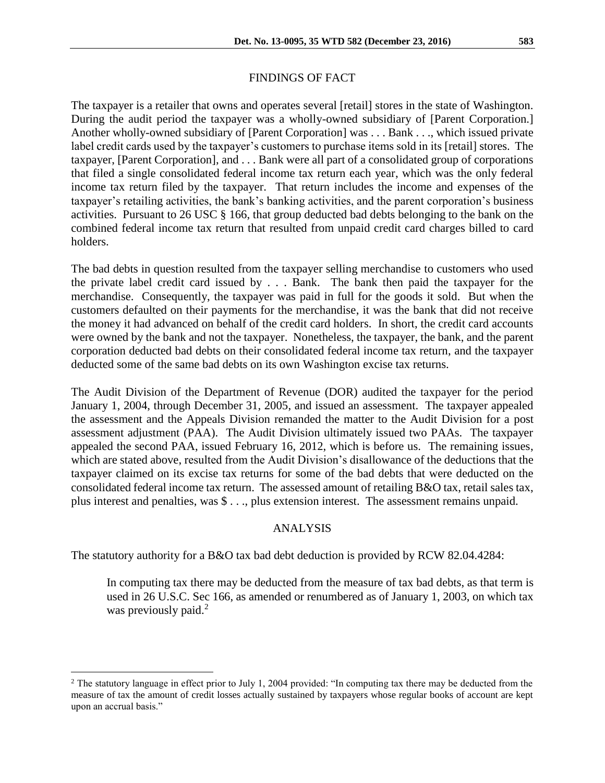### FINDINGS OF FACT

The taxpayer is a retailer that owns and operates several [retail] stores in the state of Washington. During the audit period the taxpayer was a wholly-owned subsidiary of [Parent Corporation.] Another wholly-owned subsidiary of [Parent Corporation] was . . . Bank . . ., which issued private label credit cards used by the taxpayer's customers to purchase items sold in its [retail] stores. The taxpayer, [Parent Corporation], and . . . Bank were all part of a consolidated group of corporations that filed a single consolidated federal income tax return each year, which was the only federal income tax return filed by the taxpayer. That return includes the income and expenses of the taxpayer's retailing activities, the bank's banking activities, and the parent corporation's business activities. Pursuant to 26 USC § 166, that group deducted bad debts belonging to the bank on the combined federal income tax return that resulted from unpaid credit card charges billed to card holders.

The bad debts in question resulted from the taxpayer selling merchandise to customers who used the private label credit card issued by . . . Bank. The bank then paid the taxpayer for the merchandise. Consequently, the taxpayer was paid in full for the goods it sold. But when the customers defaulted on their payments for the merchandise, it was the bank that did not receive the money it had advanced on behalf of the credit card holders. In short, the credit card accounts were owned by the bank and not the taxpayer. Nonetheless, the taxpayer, the bank, and the parent corporation deducted bad debts on their consolidated federal income tax return, and the taxpayer deducted some of the same bad debts on its own Washington excise tax returns.

The Audit Division of the Department of Revenue (DOR) audited the taxpayer for the period January 1, 2004, through December 31, 2005, and issued an assessment. The taxpayer appealed the assessment and the Appeals Division remanded the matter to the Audit Division for a post assessment adjustment (PAA). The Audit Division ultimately issued two PAAs. The taxpayer appealed the second PAA, issued February 16, 2012, which is before us. The remaining issues, which are stated above, resulted from the Audit Division's disallowance of the deductions that the taxpayer claimed on its excise tax returns for some of the bad debts that were deducted on the consolidated federal income tax return. The assessed amount of retailing B&O tax, retail sales tax, plus interest and penalties, was \$ . . ., plus extension interest. The assessment remains unpaid.

### ANALYSIS

The statutory authority for a B&O tax bad debt deduction is provided by RCW 82.04.4284:

In computing tax there may be deducted from the measure of tax bad debts, as that term is used in 26 U.S.C. Sec 166, as amended or renumbered as of January 1, 2003, on which tax was previously paid.<sup>2</sup>

 $\overline{a}$ 

<sup>&</sup>lt;sup>2</sup> The statutory language in effect prior to July 1, 2004 provided: "In computing tax there may be deducted from the measure of tax the amount of credit losses actually sustained by taxpayers whose regular books of account are kept upon an accrual basis."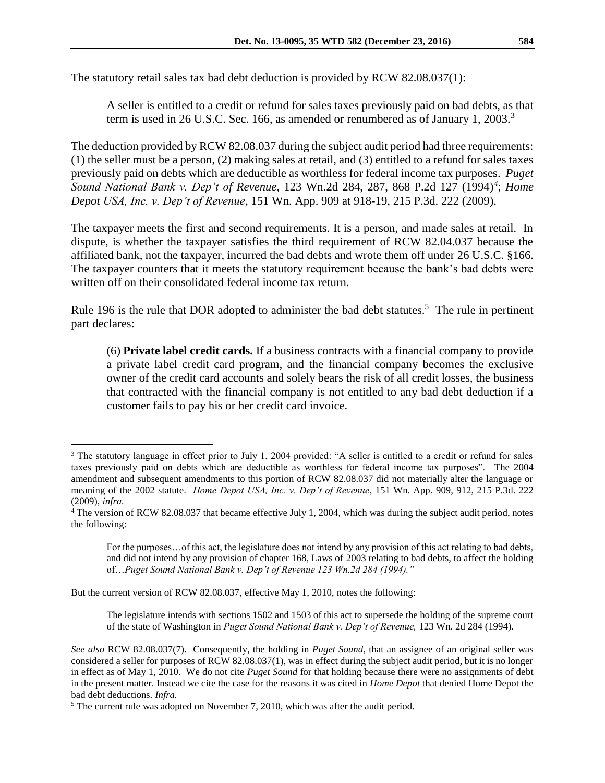The statutory retail sales tax bad debt deduction is provided by RCW 82.08.037(1):

A seller is entitled to a credit or refund for sales taxes previously paid on bad debts, as that term is used in 26 U.S.C. Sec. 166, as amended or renumbered as of January 1, 2003.<sup>3</sup>

The deduction provided by RCW 82.08.037 during the subject audit period had three requirements: (1) the seller must be a person, (2) making sales at retail, and (3) entitled to a refund for sales taxes previously paid on debts which are deductible as worthless for federal income tax purposes. *Puget Sound National Bank v. Dep't of Revenue,* 123 Wn.2d 284, 287, 868 P.2d 127 (1994)*<sup>4</sup>* ; *Home Depot USA, Inc. v. Dep't of Revenue,* 151 Wn. App. 909 at 918-19, 215 P.3d. 222 (2009).

The taxpayer meets the first and second requirements. It is a person, and made sales at retail. In dispute, is whether the taxpayer satisfies the third requirement of RCW 82.04.037 because the affiliated bank, not the taxpayer, incurred the bad debts and wrote them off under 26 U.S.C. §166. The taxpayer counters that it meets the statutory requirement because the bank's bad debts were written off on their consolidated federal income tax return.

Rule 196 is the rule that DOR adopted to administer the bad debt statutes.<sup>5</sup> The rule in pertinent part declares:

(6) **Private label credit cards.** If a business contracts with a financial company to provide a private label credit card program, and the financial company becomes the exclusive owner of the credit card accounts and solely bears the risk of all credit losses, the business that contracted with the financial company is not entitled to any bad debt deduction if a customer fails to pay his or her credit card invoice.

But the current version of RCW 82.08.037, effective May 1, 2010, notes the following:

 $\overline{a}$ 

The legislature intends with sections 1502 and 1503 of this act to supersede the holding of the supreme court of the state of Washington in *Puget Sound National Bank v. Dep't of Revenue,* 123 Wn. 2d 284 (1994).

<sup>&</sup>lt;sup>3</sup> The statutory language in effect prior to July 1, 2004 provided: "A seller is entitled to a credit or refund for sales taxes previously paid on debts which are deductible as worthless for federal income tax purposes". The 2004 amendment and subsequent amendments to this portion of RCW 82.08.037 did not materially alter the language or meaning of the 2002 statute. *Home Depot USA, Inc. v. Dep't of Revenue*, 151 Wn. App. 909, 912, 215 P.3d. 222 (2009), *infra.*

<sup>4</sup> The version of RCW 82.08.037 that became effective July 1, 2004, which was during the subject audit period, notes the following:

For the purposes...of this act, the legislature does not intend by any provision of this act relating to bad debts, and did not intend by any provision of chapter 168, Laws of 2003 relating to bad debts, to affect the holding of…*Puget Sound National Bank v. Dep't of Revenue 123 Wn.2d 284 (1994)."*

*See also* RCW 82.08.037(7). Consequently, the holding in *Puget Sound,* that an assignee of an original seller was considered a seller for purposes of RCW 82.08.037(1), was in effect during the subject audit period, but it is no longer in effect as of May 1, 2010. We do not cite *Puget Sound* for that holding because there were no assignments of debt in the present matter. Instead we cite the case for the reasons it was cited in *Home Depot* that denied Home Depot the bad debt deductions. *Infra.*

<sup>&</sup>lt;sup>5</sup> The current rule was adopted on November 7, 2010, which was after the audit period.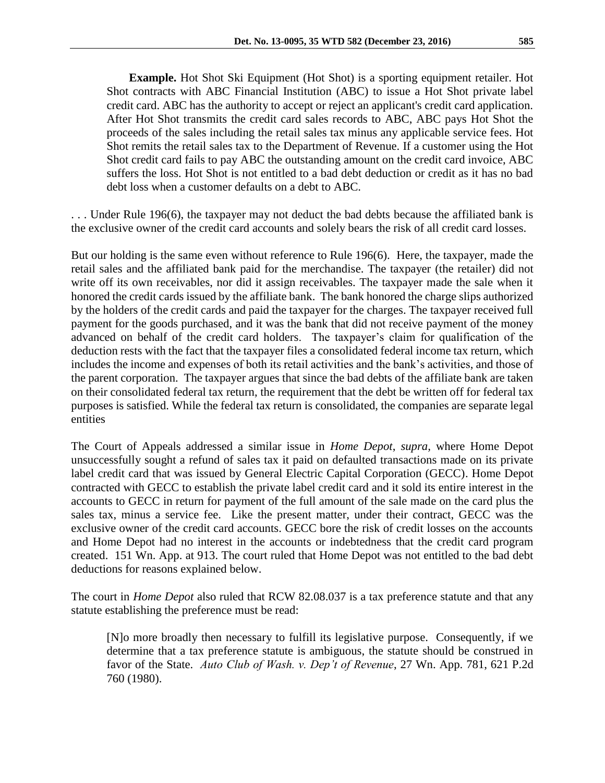**Example.** Hot Shot Ski Equipment (Hot Shot) is a sporting equipment retailer. Hot Shot contracts with ABC Financial Institution (ABC) to issue a Hot Shot private label credit card. ABC has the authority to accept or reject an applicant's credit card application. After Hot Shot transmits the credit card sales records to ABC, ABC pays Hot Shot the proceeds of the sales including the retail sales tax minus any applicable service fees. Hot Shot remits the retail sales tax to the Department of Revenue. If a customer using the Hot Shot credit card fails to pay ABC the outstanding amount on the credit card invoice, ABC suffers the loss. Hot Shot is not entitled to a bad debt deduction or credit as it has no bad debt loss when a customer defaults on a debt to ABC.

. . . Under Rule 196(6), the taxpayer may not deduct the bad debts because the affiliated bank is the exclusive owner of the credit card accounts and solely bears the risk of all credit card losses.

But our holding is the same even without reference to Rule 196(6). Here, the taxpayer, made the retail sales and the affiliated bank paid for the merchandise. The taxpayer (the retailer) did not write off its own receivables, nor did it assign receivables. The taxpayer made the sale when it honored the credit cards issued by the affiliate bank. The bank honored the charge slips authorized by the holders of the credit cards and paid the taxpayer for the charges. The taxpayer received full payment for the goods purchased, and it was the bank that did not receive payment of the money advanced on behalf of the credit card holders. The taxpayer's claim for qualification of the deduction rests with the fact that the taxpayer files a consolidated federal income tax return, which includes the income and expenses of both its retail activities and the bank's activities, and those of the parent corporation. The taxpayer argues that since the bad debts of the affiliate bank are taken on their consolidated federal tax return, the requirement that the debt be written off for federal tax purposes is satisfied. While the federal tax return is consolidated, the companies are separate legal entities

The Court of Appeals addressed a similar issue in *Home Depot*, *supra,* where Home Depot unsuccessfully sought a refund of sales tax it paid on defaulted transactions made on its private label credit card that was issued by General Electric Capital Corporation (GECC). Home Depot contracted with GECC to establish the private label credit card and it sold its entire interest in the accounts to GECC in return for payment of the full amount of the sale made on the card plus the sales tax, minus a service fee. Like the present matter, under their contract, GECC was the exclusive owner of the credit card accounts. GECC bore the risk of credit losses on the accounts and Home Depot had no interest in the accounts or indebtedness that the credit card program created. 151 Wn. App. at 913. The court ruled that Home Depot was not entitled to the bad debt deductions for reasons explained below.

The court in *Home Depot* also ruled that RCW 82.08.037 is a tax preference statute and that any statute establishing the preference must be read:

[N]o more broadly then necessary to fulfill its legislative purpose. Consequently, if we determine that a tax preference statute is ambiguous, the statute should be construed in favor of the State. *Auto Club of Wash. v. Dep't of Revenue*, 27 Wn. App. 781, 621 P.2d 760 (1980).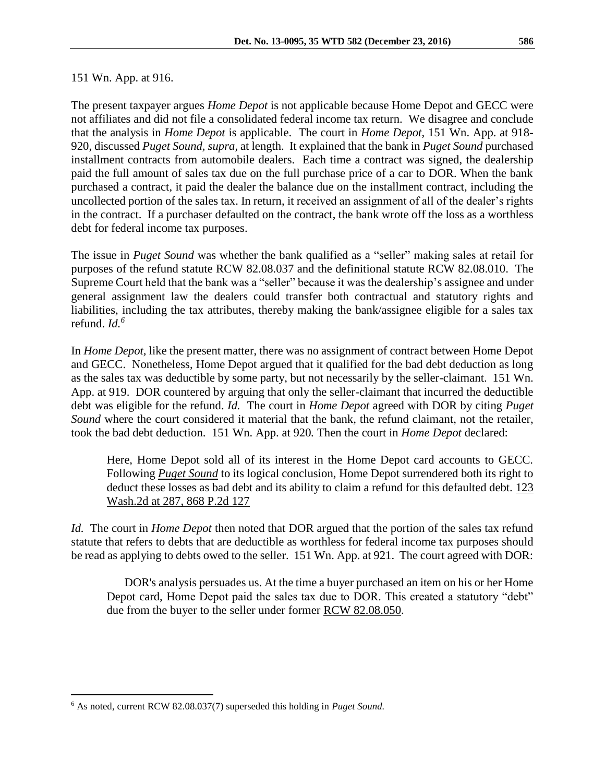#### 151 Wn. App. at 916.

The present taxpayer argues *Home Depot* is not applicable because Home Depot and GECC were not affiliates and did not file a consolidated federal income tax return. We disagree and conclude that the analysis in *Home Depot* is applicable. The court in *Home Depot*, 151 Wn. App. at 918- 920, discussed *Puget Sound, supra,* at length. It explained that the bank in *Puget Sound* purchased installment contracts from automobile dealers. Each time a contract was signed, the dealership paid the full amount of sales tax due on the full purchase price of a car to DOR. When the bank purchased a contract, it paid the dealer the balance due on the installment contract, including the uncollected portion of the sales tax. In return, it received an assignment of all of the dealer's rights in the contract. If a purchaser defaulted on the contract, the bank wrote off the loss as a worthless debt for federal income tax purposes.

The issue in *Puget Sound* was whether the bank qualified as a "seller" making sales at retail for purposes of the refund statute RCW 82.08.037 and the definitional statute RCW 82.08.010. The Supreme Court held that the bank was a "seller" because it was the dealership's assignee and under general assignment law the dealers could transfer both contractual and statutory rights and liabilities, including the tax attributes, thereby making the bank/assignee eligible for a sales tax refund. *Id.<sup>6</sup>*

In *Home Depot,* like the present matter, there was no assignment of contract between Home Depot and GECC. Nonetheless, Home Depot argued that it qualified for the bad debt deduction as long as the sales tax was deductible by some party, but not necessarily by the seller-claimant. 151 Wn. App. at 919. DOR countered by arguing that only the seller-claimant that incurred the deductible debt was eligible for the refund. *Id.* The court in *Home Depot* agreed with DOR by citing *Puget Sound* where the court considered it material that the bank, the refund claimant, not the retailer, took the bad debt deduction. 151 Wn. App. at 920*.* Then the court in *Home Depot* declared:

Here, Home Depot sold all of its interest in the Home Depot card accounts to GECC. Following *[Puget Sound](http://www.westlaw.com/Find/Default.wl?rs=dfa1.0&vr=2.0&FindType=Y&SerialNum=1994053029)* to its logical conclusion, Home Depot surrendered both its right to deduct these losses as bad debt and its ability to claim a refund for this defaulted debt. [123](http://www.westlaw.com/Find/Default.wl?rs=dfa1.0&vr=2.0&DB=661&FindType=Y&SerialNum=1994053029)  [Wash.2d at 287, 868 P.2d 127](http://www.westlaw.com/Find/Default.wl?rs=dfa1.0&vr=2.0&DB=661&FindType=Y&SerialNum=1994053029)

*Id.* The court in *Home Depot* then noted that DOR argued that the portion of the sales tax refund statute that refers to debts that are deductible as worthless for federal income tax purposes should be read as applying to debts owed to the seller. 151 Wn. App. at 921. The court agreed with DOR:

DOR's analysis persuades us. At the time a buyer purchased an item on his or her Home Depot card, Home Depot paid the sales tax due to DOR. This created a statutory "debt" due from the buyer to the seller under former [RCW 82.08.050.](http://www.westlaw.com/Find/Default.wl?rs=dfa1.0&vr=2.0&DB=1000259&DocName=WAST82.08.050&FindType=L)

 $\overline{a}$ 

<sup>6</sup> As noted, current RCW 82.08.037(7) superseded this holding in *Puget Sound.*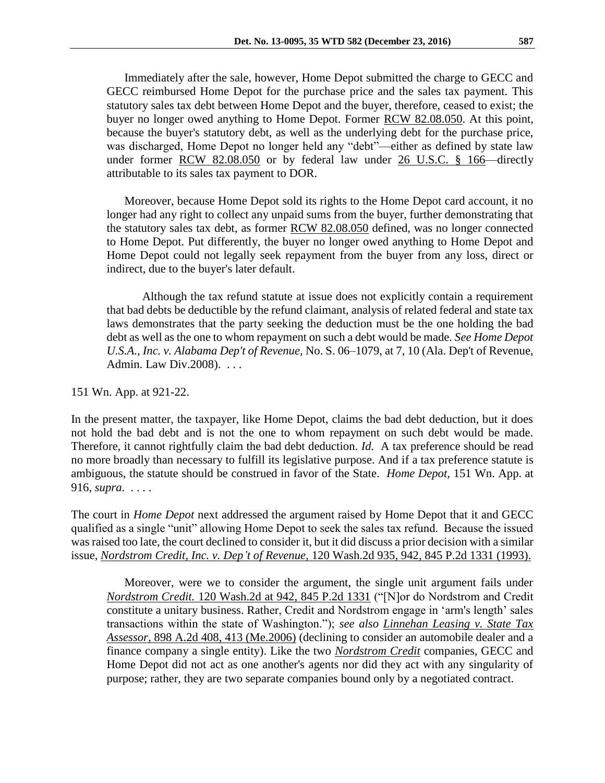Immediately after the sale, however, Home Depot submitted the charge to GECC and GECC reimbursed Home Depot for the purchase price and the sales tax payment. This statutory sales tax debt between Home Depot and the buyer, therefore, ceased to exist; the buyer no longer owed anything to Home Depot. Former [RCW 82.08.050.](http://www.westlaw.com/Find/Default.wl?rs=dfa1.0&vr=2.0&DB=1000259&DocName=WAST82.08.050&FindType=L) At this point, because the buyer's statutory debt, as well as the underlying debt for the purchase price, was discharged, Home Depot no longer held any "debt"—either as defined by state law under former [RCW 82.08.050](http://www.westlaw.com/Find/Default.wl?rs=dfa1.0&vr=2.0&DB=1000259&DocName=WAST82.08.050&FindType=L) or by federal law under [26 U.S.C. § 166—](http://www.westlaw.com/Find/Default.wl?rs=dfa1.0&vr=2.0&DB=1000546&DocName=26USCAS166&FindType=L)directly attributable to its sales tax payment to DOR.

Moreover, because Home Depot sold its rights to the Home Depot card account, it no longer had any right to collect any unpaid sums from the buyer, further demonstrating that the statutory sales tax debt, as former [RCW 82.08.050](http://www.westlaw.com/Find/Default.wl?rs=dfa1.0&vr=2.0&DB=1000259&DocName=WAST82.08.050&FindType=L) defined, was no longer connected to Home Depot. Put differently, the buyer no longer owed anything to Home Depot and Home Depot could not legally seek repayment from the buyer from any loss, direct or indirect, due to the buyer's later default.

Although the tax refund statute at issue does not explicitly contain a requirement that bad debts be deductible by the refund claimant, analysis of related federal and state tax laws demonstrates that the party seeking the deduction must be the one holding the bad debt as well as the one to whom repayment on such a debt would be made. *See Home Depot U.S.A., Inc. v. Alabama Dep't of Revenue,* No. S. 06–1079, at 7, 10 (Ala. Dep't of Revenue, Admin. Law Div.2008). . . .

151 Wn. App. at 921-22.

In the present matter, the taxpayer, like Home Depot, claims the bad debt deduction, but it does not hold the bad debt and is not the one to whom repayment on such debt would be made. Therefore, it cannot rightfully claim the bad debt deduction. *Id.* A tax preference should be read no more broadly than necessary to fulfill its legislative purpose. And if a tax preference statute is ambiguous, the statute should be construed in favor of the State. *Home Depot,* 151 Wn. App. at 916, *supra*. . . . .

The court in *Home Depot* next addressed the argument raised by Home Depot that it and GECC qualified as a single "unit" allowing Home Depot to seek the sales tax refund. Because the issued was raised too late, the court declined to consider it, but it did discuss a prior decision with a similar issue, *[Nordstrom Credit, Inc. v. Dep't of Revenue,](http://www.westlaw.com/Find/Default.wl?rs=dfa1.0&vr=2.0&DB=661&FindType=Y&SerialNum=1993058102)* [120 Wash.2d 935, 942, 845 P.2d 1331 \(1993\).](http://www.westlaw.com/Find/Default.wl?rs=dfa1.0&vr=2.0&DB=661&FindType=Y&SerialNum=1993058102)

Moreover, were we to consider the argument, the single unit argument fails under *[Nordstrom Credit.](http://www.westlaw.com/Find/Default.wl?rs=dfa1.0&vr=2.0&DB=661&FindType=Y&SerialNum=1993058102)* [120 Wash.2d at 942, 845 P.2d 1331](http://www.westlaw.com/Find/Default.wl?rs=dfa1.0&vr=2.0&DB=661&FindType=Y&SerialNum=1993058102) ("[N]or do Nordstrom and Credit constitute a unitary business. Rather, Credit and Nordstrom engage in 'arm's length' sales transactions within the state of Washington."); *see also [Linnehan Leasing v. State Tax](http://www.westlaw.com/Find/Default.wl?rs=dfa1.0&vr=2.0&DB=162&FindType=Y&ReferencePositionType=S&SerialNum=2008823397&ReferencePosition=413)  [Assessor,](http://www.westlaw.com/Find/Default.wl?rs=dfa1.0&vr=2.0&DB=162&FindType=Y&ReferencePositionType=S&SerialNum=2008823397&ReferencePosition=413)* [898 A.2d 408, 413 \(Me.2006\)](http://www.westlaw.com/Find/Default.wl?rs=dfa1.0&vr=2.0&DB=162&FindType=Y&ReferencePositionType=S&SerialNum=2008823397&ReferencePosition=413) (declining to consider an automobile dealer and a finance company a single entity). Like the two *[Nordstrom Credit](http://www.westlaw.com/Find/Default.wl?rs=dfa1.0&vr=2.0&FindType=Y&SerialNum=1993058102)* companies, GECC and Home Depot did not act as one another's agents nor did they act with any singularity of purpose; rather, they are two separate companies bound only by a negotiated contract.